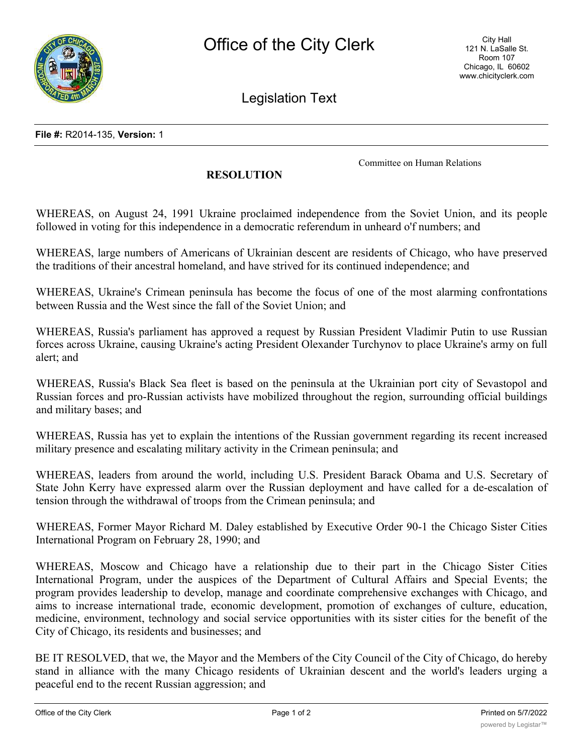

Legislation Text

Committee on Human Relations

## **RESOLUTION**

WHEREAS, on August 24, 1991 Ukraine proclaimed independence from the Soviet Union, and its people followed in voting for this independence in a democratic referendum in unheard o'f numbers; and

WHEREAS, large numbers of Americans of Ukrainian descent are residents of Chicago, who have preserved the traditions of their ancestral homeland, and have strived for its continued independence; and

WHEREAS, Ukraine's Crimean peninsula has become the focus of one of the most alarming confrontations between Russia and the West since the fall of the Soviet Union; and

WHEREAS, Russia's parliament has approved a request by Russian President Vladimir Putin to use Russian forces across Ukraine, causing Ukraine's acting President Olexander Turchynov to place Ukraine's army on full alert; and

WHEREAS, Russia's Black Sea fleet is based on the peninsula at the Ukrainian port city of Sevastopol and Russian forces and pro-Russian activists have mobilized throughout the region, surrounding official buildings and military bases; and

WHEREAS, Russia has yet to explain the intentions of the Russian government regarding its recent increased military presence and escalating military activity in the Crimean peninsula; and

WHEREAS, leaders from around the world, including U.S. President Barack Obama and U.S. Secretary of State John Kerry have expressed alarm over the Russian deployment and have called for a de-escalation of tension through the withdrawal of troops from the Crimean peninsula; and

WHEREAS, Former Mayor Richard M. Daley established by Executive Order 90-1 the Chicago Sister Cities International Program on February 28, 1990; and

WHEREAS, Moscow and Chicago have a relationship due to their part in the Chicago Sister Cities International Program, under the auspices of the Department of Cultural Affairs and Special Events; the program provides leadership to develop, manage and coordinate comprehensive exchanges with Chicago, and aims to increase international trade, economic development, promotion of exchanges of culture, education, medicine, environment, technology and social service opportunities with its sister cities for the benefit of the City of Chicago, its residents and businesses; and

BE IT RESOLVED, that we, the Mayor and the Members of the City Council of the City of Chicago, do hereby stand in alliance with the many Chicago residents of Ukrainian descent and the world's leaders urging a peaceful end to the recent Russian aggression; and